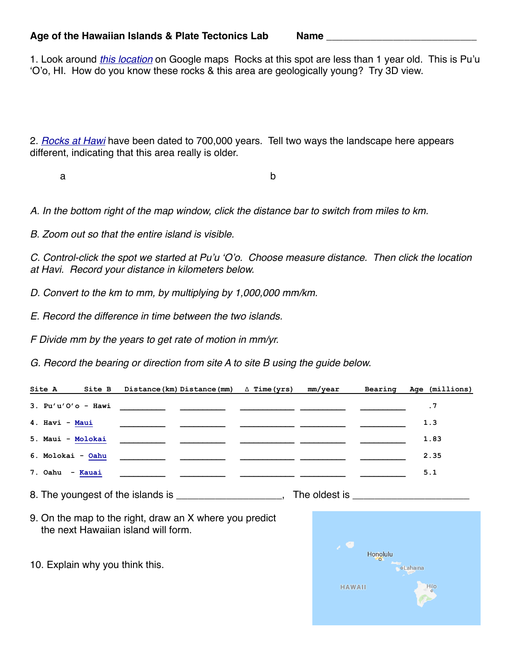## Age of the Hawaiian Islands & Plate Tectonics Lab Mame \_

1. Look around *[this location](https://www.google.com/maps/@19.3862046,-155.0593622,1417m/data=!3m1!1e3)* on Google maps Rocks at this spot are less than 1 year old. This is Pu'u 'O'o, HI. How do you know these rocks & this area are geologically young? Try 3D view.

2. *[Rocks at Hawi](https://www.google.com/maps/@20.2644059,-155.8584931,909m/data=!3m1!1e3)* have been dated to 700,000 years. Tell two ways the landscape here appears different, indicating that this area really is older.

a b

*A. In the bottom right of the map window, click the distance bar to switch from miles to km.* 

*B. Zoom out so that the entire island is visible.* 

*C. Control-click the spot we started at Pu'u 'O'o. Choose measure distance. Then click the location at Havi. Record your distance in kilometers below.*

*D. Convert to the km to mm, by multiplying by 1,000,000 mm/km.*

*E. Record the difference in time between the two islands.*

*F Divide mm by the years to get rate of motion in mm/yr.* 

*G. Record the bearing or direction from site A to site B using the guide below.* 

| Site A            | Site B Distance (km) Distance (mm) $\triangle$ Time (yrs)                                                             | mm/year | Bearing | Age (millions) |
|-------------------|-----------------------------------------------------------------------------------------------------------------------|---------|---------|----------------|
|                   |                                                                                                                       |         |         | . 7            |
| 4. Havi - Maui    |                                                                                                                       |         |         | 1.3            |
| 5. Maui - Molokai |                                                                                                                       |         |         | 1.83           |
| 6. Molokai - Oahu |                                                                                                                       |         |         | 2.35           |
| 7. Oahu - Kauai   | <u> 1989 - Johann John Stone, markin amerikan basal dan berkembang di banyak di banyak di banyak di banyak di ban</u> |         |         | 5.1            |

8. The youngest of the islands is \_\_\_\_\_\_\_\_\_\_\_\_\_\_\_\_\_\_, The oldest is \_\_\_\_\_\_\_\_\_\_\_\_

9. On the map to the right, draw an X where you predict the next Hawaiian island will form.

10. Explain why you think this.

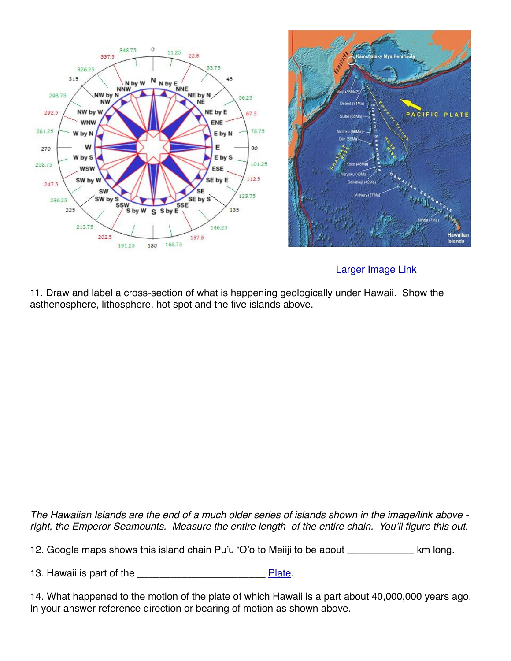



## [Larger Image Link](http://uidahophysicalgeography.weebly.com/uploads/1/6/4/8/16481944/5600568_orig.jpg)

11. Draw and label a cross-section of what is happening geologically under Hawaii. Show the asthenosphere, lithosphere, hot spot and the five islands above.

*The Hawaiian Islands are the end of a much older series of islands shown in the image/link above right, the Emperor Seamounts. Measure the entire length of the entire chain. You'll figure this out.*

12. Google maps shows this island chain Pu'u 'O'o to Meiiji to be about \_\_\_\_\_\_\_\_\_\_\_\_ km long.

13. Hawaii is part of the **Example 20** [Plate.](https://en.wikipedia.org/wiki/Plate_tectonics#/media/File:Plates_tect2_en.svg)

14. What happened to the motion of the plate of which Hawaii is a part about 40,000,000 years ago. In your answer reference direction or bearing of motion as shown above.